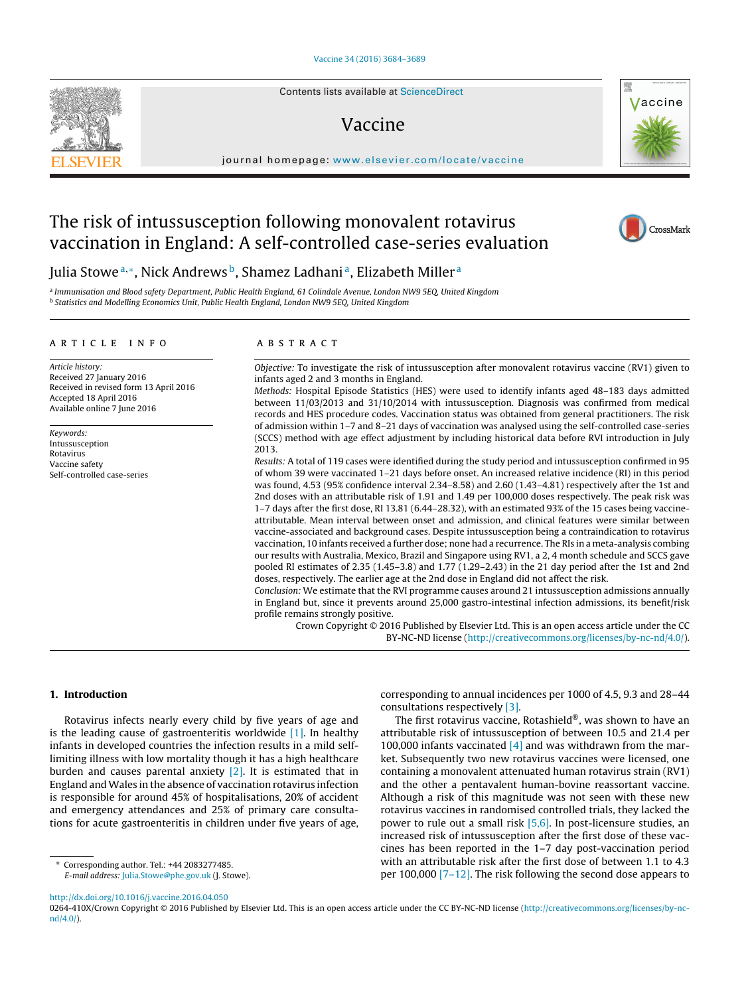Contents lists available at [ScienceDirect](http://www.sciencedirect.com/science/journal/0264410X)

# Vaccine

iournal homepage: [www.elsevier.com/locate/vaccine](http://www.elsevier.com/locate/vaccine)

# The risk of intussusception following monovalent rotavirus vaccination in England: A self-controlled case-series evaluation

Julia Stowe<sup>a,∗</sup>, Nick Andrews<sup>b</sup>, Shamez Ladhani<sup>a</sup>, Elizabeth Miller<sup>a</sup>

<sup>a</sup> Immunisation and Blood safety Department, Public Health England, 61 Colindale Avenue, London NW9 5EQ, United Kingdom <sup>b</sup> Statistics and Modelling Economics Unit, Public Health England, London NW9 5EQ, United Kingdom

## a r t i c l e i n f o

Article history: Received 27 January 2016 Received in revised form 13 April 2016 Accepted 18 April 2016 Available online 7 June 2016

Keywords: Intussusception Rotavirus Vaccine safety Self-controlled case-series

## A B S T R A C T

Objective: To investigate the risk of intussusception after monovalent rotavirus vaccine (RV1) given to infants aged 2 and 3 months in England.

Methods: Hospital Episode Statistics (HES) were used to identify infants aged 48–183 days admitted between 11/03/2013 and 31/10/2014 with intussusception. Diagnosis was confirmed from medical records and HES procedure codes. Vaccination status was obtained from general practitioners. The risk of admission within 1–7 and 8–21 days of vaccination was analysed using the self-controlled case-series (SCCS) method with age effect adjustment by including historical data before RVI introduction in July 2013.

Results: A total of 119 cases were identified during the study period and intussusception confirmed in 95 of whom 39 were vaccinated 1–21 days before onset. An increased relative incidence (RI) in this period was found, 4.53 (95% confidence interval 2.34–8.58) and 2.60 (1.43–4.81) respectively after the 1st and 2nd doses with an attributable risk of 1.91 and 1.49 per 100,000 doses respectively. The peak risk was 1–7 days after the first dose, RI 13.81 (6.44–28.32), with an estimated 93% of the 15 cases being vaccineattributable. Mean interval between onset and admission, and clinical features were similar between vaccine-associated and background cases. Despite intussusception being a contraindication to rotavirus vaccination, 10 infants received a further dose; none had a recurrence. The RIs in a meta-analysis combing our results with Australia, Mexico, Brazil and Singapore using RV1, a 2, 4 month schedule and SCCS gave pooled RI estimates of 2.35 (1.45–3.8) and 1.77 (1.29–2.43) in the 21 day period after the 1st and 2nd doses, respectively. The earlier age at the 2nd dose in England did not affect the risk.

Conclusion: We estimate that the RVI programme causes around 21 intussusception admissions annually in England but, since it prevents around 25,000 gastro-intestinal infection admissions, its benefit/risk profile remains strongly positive.

Crown Copyright © 2016 Published by Elsevier Ltd. This is an open access article under the CC BY-NC-ND license [\(http://creativecommons.org/licenses/by-nc-nd/4.0/](http://creativecommons.org/licenses/by-nc-nd/4.0/)).

### **1. Introduction**

Rotavirus infects nearly every child by five years of age and is the leading cause of gastroenteritis worldwide  $[1]$ . In healthy infants in developed countries the infection results in a mild selflimiting illness with low mortality though it has a high healthcare burden and causes parental anxiety  $[2]$ . It is estimated that in England andWales in the absence of vaccination rotavirus infection is responsible for around 45% of hospitalisations, 20% of accident and emergency attendances and 25% of primary care consultations for acute gastroenteritis in children under five years of age,

∗ Corresponding author. Tel.: +44 2083277485. E-mail address: [Julia.Stowe@phe.gov.uk](mailto:Julia.Stowe@phe.gov.uk) (J. Stowe). corresponding to annual incidences per 1000 of 4.5, 9.3 and 28–44 consultations respectively [\[3\].](#page-4-0)

The first rotavirus vaccine, Rotashield®, was shown to have an attributable risk of intussusception of between 10.5 and 21.4 per 100,000 infants vaccinated  $[4]$  and was withdrawn from the market. Subsequently two new rotavirus vaccines were licensed, one containing a monovalent attenuated human rotavirus strain (RV1) and the other a pentavalent human-bovine reassortant vaccine. Although a risk of this magnitude was not seen with these new rotavirus vaccines in randomised controlled trials, they lacked the power to rule out a small risk [\[5,6\].](#page-4-0) In post-licensure studies, an increased risk of intussusception after the first dose of these vaccines has been reported in the 1–7 day post-vaccination period with an attributable risk after the first dose of between 1.1 to 4.3 per 100,000 [\[7–12\].](#page-4-0) The risk following the second dose appears to

[http://dx.doi.org/10.1016/j.vaccine.2016.04.050](dx.doi.org/10.1016/j.vaccine.2016.04.050)

0264-410X/Crown Copyright © 2016 Published by Elsevier Ltd. This is an open access article under the CC BY-NC-ND license [\(http://creativecommons.org/licenses/by-nc](http://creativecommons.org/licenses/by-nc-nd/4.0/)[nd/4.0/\)](http://creativecommons.org/licenses/by-nc-nd/4.0/).





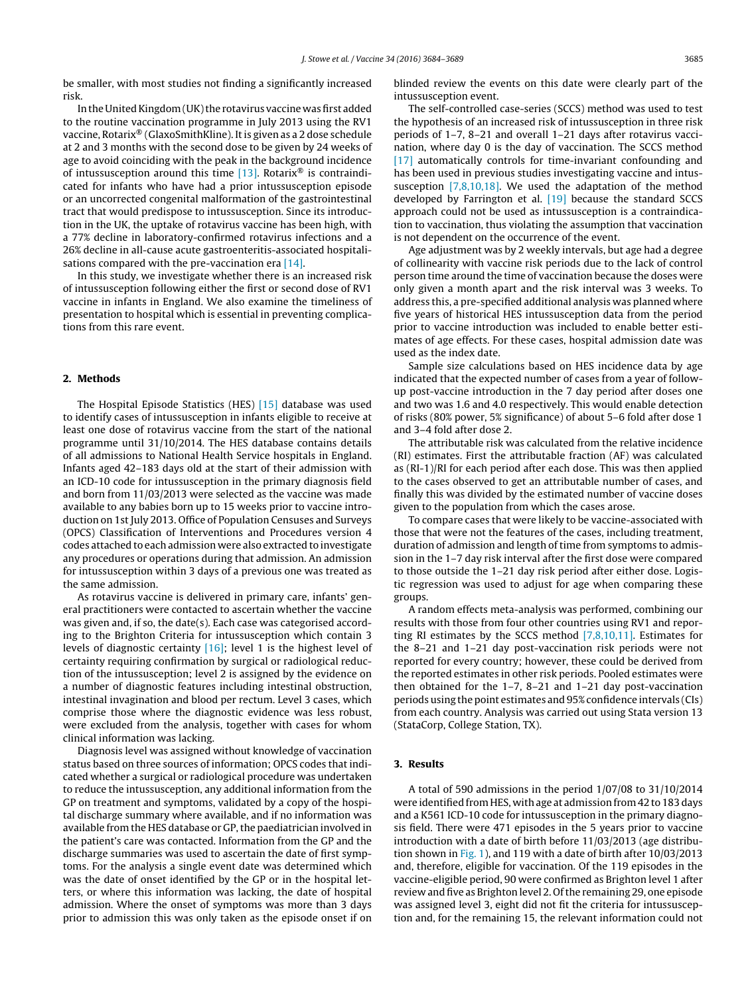be smaller, with most studies not finding a significantly increased risk.

In the United Kingdom (UK) the rotavirus vaccine was first added to the routine vaccination programme in July 2013 using the RV1 vaccine, Rotarix® (GlaxoSmithKline). It is given as a 2 dose schedule at 2 and 3 months with the second dose to be given by 24 weeks of age to avoid coinciding with the peak in the background incidence of intussusception around this time  $[13]$ . Rotarix<sup>®</sup> is contraindicated for infants who have had a prior intussusception episode or an uncorrected congenital malformation of the gastrointestinal tract that would predispose to intussusception. Since its introduction in the UK, the uptake of rotavirus vaccine has been high, with a 77% decline in laboratory-confirmed rotavirus infections and a 26% decline in all-cause acute gastroenteritis-associated hospitali-sations compared with the pre-vaccination era [\[14\].](#page-5-0)

In this study, we investigate whether there is an increased risk of intussusception following either the first or second dose of RV1 vaccine in infants in England. We also examine the timeliness of presentation to hospital which is essential in preventing complications from this rare event.

### **2. Methods**

The Hospital Episode Statistics (HES) [\[15\]](#page-5-0) database was used to identify cases of intussusception in infants eligible to receive at least one dose of rotavirus vaccine from the start of the national programme until 31/10/2014. The HES database contains details of all admissions to National Health Service hospitals in England. Infants aged 42–183 days old at the start of their admission with an ICD-10 code for intussusception in the primary diagnosis field and born from 11/03/2013 were selected as the vaccine was made available to any babies born up to 15 weeks prior to vaccine introduction on 1st July 2013. Office of Population Censuses and Surveys (OPCS) Classification of Interventions and Procedures version 4 codes attached to each admission were also extracted to investigate any procedures or operations during that admission. An admission for intussusception within 3 days of a previous one was treated as the same admission.

As rotavirus vaccine is delivered in primary care, infants' general practitioners were contacted to ascertain whether the vaccine was given and, if so, the date(s). Each case was categorised according to the Brighton Criteria for intussusception which contain 3 levels of diagnostic certainty [\[16\];](#page-5-0) level 1 is the highest level of certainty requiring confirmation by surgical or radiological reduction of the intussusception; level 2 is assigned by the evidence on a number of diagnostic features including intestinal obstruction, intestinal invagination and blood per rectum. Level 3 cases, which comprise those where the diagnostic evidence was less robust, were excluded from the analysis, together with cases for whom clinical information was lacking.

Diagnosis level was assigned without knowledge of vaccination status based on three sources of information; OPCS codes that indicated whether a surgical or radiological procedure was undertaken to reduce the intussusception, any additional information from the GP on treatment and symptoms, validated by a copy of the hospital discharge summary where available, and if no information was available from the HES database or GP,the paediatrician involved in the patient's care was contacted. Information from the GP and the discharge summaries was used to ascertain the date of first symptoms. For the analysis a single event date was determined which was the date of onset identified by the GP or in the hospital letters, or where this information was lacking, the date of hospital admission. Where the onset of symptoms was more than 3 days prior to admission this was only taken as the episode onset if on blinded review the events on this date were clearly part of the intussusception event.

The self-controlled case-series (SCCS) method was used to test the hypothesis of an increased risk of intussusception in three risk periods of 1–7, 8–21 and overall 1–21 days after rotavirus vaccination, where day 0 is the day of vaccination. The SCCS method [\[17\]](#page-5-0) automatically controls for time-invariant confounding and has been used in previous studies investigating vaccine and intussusception [\[7,8,10,18\].](#page-4-0) We used the adaptation of the method developed by Farrington et al. [\[19\]](#page-5-0) because the standard SCCS approach could not be used as intussusception is a contraindication to vaccination, thus violating the assumption that vaccination is not dependent on the occurrence of the event.

Age adjustment was by 2 weekly intervals, but age had a degree of collinearity with vaccine risk periods due to the lack of control person time around the time of vaccination because the doses were only given a month apart and the risk interval was 3 weeks. To address this, a pre-specified additional analysis was planned where five years of historical HES intussusception data from the period prior to vaccine introduction was included to enable better estimates of age effects. For these cases, hospital admission date was used as the index date.

Sample size calculations based on HES incidence data by age indicated that the expected number of cases from a year of followup post-vaccine introduction in the 7 day period after doses one and two was 1.6 and 4.0 respectively. This would enable detection of risks (80% power, 5% significance) of about 5–6 fold after dose 1 and 3–4 fold after dose 2.

The attributable risk was calculated from the relative incidence (RI) estimates. First the attributable fraction (AF) was calculated as (RI-1)/RI for each period after each dose. This was then applied to the cases observed to get an attributable number of cases, and finally this was divided by the estimated number of vaccine doses given to the population from which the cases arose.

To compare cases that were likely to be vaccine-associated with those that were not the features of the cases, including treatment, duration of admission and length of time from symptoms to admission in the 1–7 day risk interval after the first dose were compared to those outside the 1–21 day risk period after either dose. Logistic regression was used to adjust for age when comparing these groups.

A random effects meta-analysis was performed, combining our results with those from four other countries using RV1 and reporting RI estimates by the SCCS method [\[7,8,10,11\].](#page-4-0) Estimates for the 8–21 and 1–21 day post-vaccination risk periods were not reported for every country; however, these could be derived from the reported estimates in other risk periods. Pooled estimates were then obtained for the 1–7, 8–21 and 1–21 day post-vaccination periods using the point estimates and 95%confidence intervals (CIs) from each country. Analysis was carried out using Stata version 13 (StataCorp, College Station, TX).

#### **3. Results**

A total of 590 admissions in the period 1/07/08 to 31/10/2014 were identified from HES, with age at admission from 42 to 183 days and a K561 ICD-10 code for intussusception in the primary diagnosis field. There were 471 episodes in the 5 years prior to vaccine introduction with a date of birth before 11/03/2013 (age distribution shown in [Fig.](#page-2-0) 1), and 119 with a date of birth after 10/03/2013 and, therefore, eligible for vaccination. Of the 119 episodes in the vaccine-eligible period, 90 were confirmed as Brighton level 1 after review and five as Brighton level 2. Of the remaining 29, one episode was assigned level 3, eight did not fit the criteria for intussusception and, for the remaining 15, the relevant information could not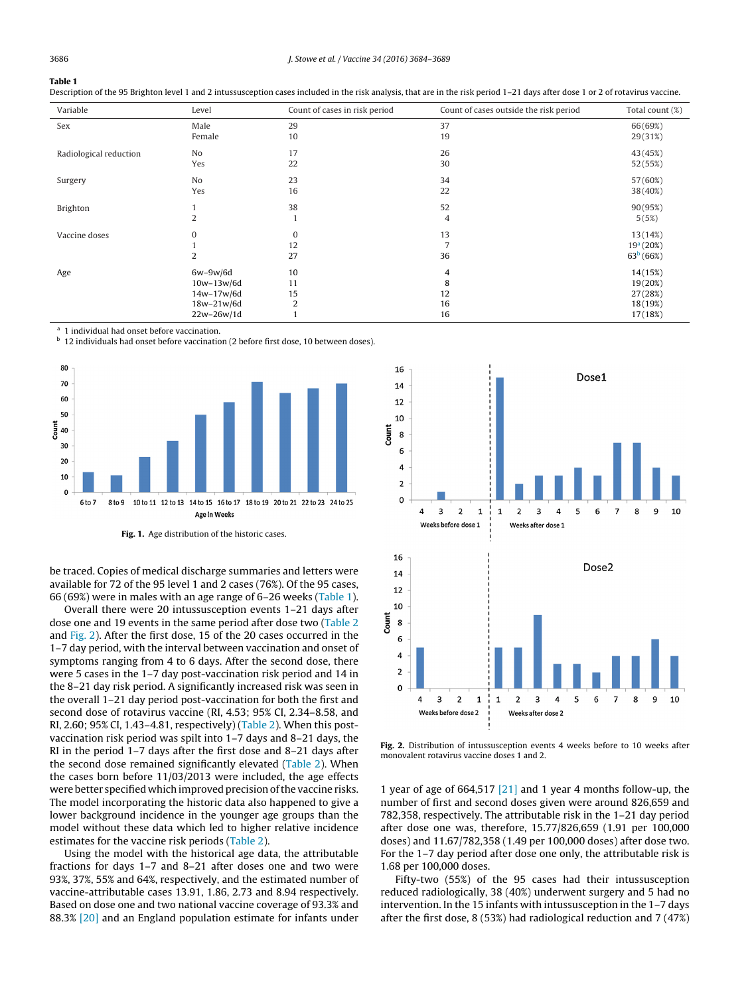# <span id="page-2-0"></span>**Table 1**

| Description of the 95 Brighton level 1 and 2 intussusception cases included in the risk analysis, that are in the risk period 1–21 days after dose 1 or 2 of rotavirus vaccine. |  |  |
|---------------------------------------------------------------------------------------------------------------------------------------------------------------------------------|--|--|
|                                                                                                                                                                                 |  |  |

| Variable               | Level          | Count of cases in risk period | Count of cases outside the risk period | Total count (%)       |
|------------------------|----------------|-------------------------------|----------------------------------------|-----------------------|
| Sex                    | Male           | 29                            | 37                                     | 66(69%)               |
|                        | Female         | 10                            | 19                                     | 29(31%)               |
| Radiological reduction | No             | 17                            | 26                                     | 43 (45%)              |
|                        | Yes            | 22                            | 30                                     | 52 (55%)              |
| Surgery                | No             | 23                            | 34                                     | 57 (60%)              |
|                        | Yes            | 16                            | 22                                     | 38 (40%)              |
| Brighton               |                | 38                            | 52                                     | 90(95%)               |
|                        | $\overline{2}$ | 1                             | 4                                      | 5(5%)                 |
| Vaccine doses          | $\mathbf{0}$   | $\bf{0}$                      | 13                                     | 13(14%)               |
|                        |                | 12                            | 7                                      | 19 <sup>a</sup> (20%) |
|                        | $\overline{2}$ | 27                            | 36                                     | 63 <sup>b</sup> (66%) |
| Age                    | $6w-9w/6d$     | 10                            | 4                                      | 14(15%)               |
|                        | $10w-13w/6d$   | 11                            | 8                                      | 19(20%)               |
|                        | 14w-17w/6d     | 15                            | 12                                     | 27 (28%)              |
|                        | $18w-21w/6d$   | 2                             | 16                                     | 18(19%)               |
|                        | $22w-26w/1d$   |                               | 16                                     | 17(18%)               |

1 individual had onset before vaccination.

**b** 12 individuals had onset before vaccination (2 before first dose, 10 between doses).



**Fig. 1.** Age distribution of the historic cases.

be traced. Copies of medical discharge summaries and letters were available for 72 of the 95 level 1 and 2 cases (76%). Of the 95 cases, 66 (69%) were in males with an age range of 6–26 weeks (Table 1).

Overall there were 20 intussusception events 1–21 days after dose one and 19 events in the same period after dose two [\(Table](#page-3-0) 2 and Fig. 2). After the first dose, 15 of the 20 cases occurred in the 1–7 day period, with the interval between vaccination and onset of symptoms ranging from 4 to 6 days. After the second dose, there were 5 cases in the 1–7 day post-vaccination risk period and 14 in the 8–21 day risk period. A significantly increased risk was seen in the overall 1–21 day period post-vaccination for both the first and second dose of rotavirus vaccine (RI, 4.53; 95% CI, 2.34–8.58, and RI, 2.60; 95% CI, 1.43–4.81, respectively) [\(Table](#page-3-0) 2). When this postvaccination risk period was spilt into 1–7 days and 8–21 days, the RI in the period 1–7 days after the first dose and 8–21 days after the second dose remained significantly elevated [\(Table](#page-3-0) 2). When the cases born before 11/03/2013 were included, the age effects were better specified which improved precision of the vaccine risks. The model incorporating the historic data also happened to give a lower background incidence in the younger age groups than the model without these data which led to higher relative incidence estimates for the vaccine risk periods ([Table](#page-3-0) 2).

Using the model with the historical age data, the attributable fractions for days 1–7 and 8–21 after doses one and two were 93%, 37%, 55% and 64%, respectively, and the estimated number of vaccine-attributable cases 13.91, 1.86, 2.73 and 8.94 respectively. Based on dose one and two national vaccine coverage of 93.3% and 88.3% [\[20\]](#page-5-0) and an England population estimate for infants under



**Fig. 2.** Distribution of intussusception events 4 weeks before to 10 weeks after monovalent rotavirus vaccine doses 1 and 2.

1 year of age of 664,517  $\left[21\right]$  and 1 year 4 months follow-up, the number of first and second doses given were around 826,659 and 782,358, respectively. The attributable risk in the 1–21 day period after dose one was, therefore, 15.77/826,659 (1.91 per 100,000 doses) and 11.67/782,358 (1.49 per 100,000 doses) after dose two. For the 1–7 day period after dose one only, the attributable risk is 1.68 per 100,000 doses.

Fifty-two (55%) of the 95 cases had their intussusception reduced radiologically, 38 (40%) underwent surgery and 5 had no intervention. In the 15 infants with intussusception in the 1–7 days after the first dose, 8 (53%) had radiological reduction and 7 (47%)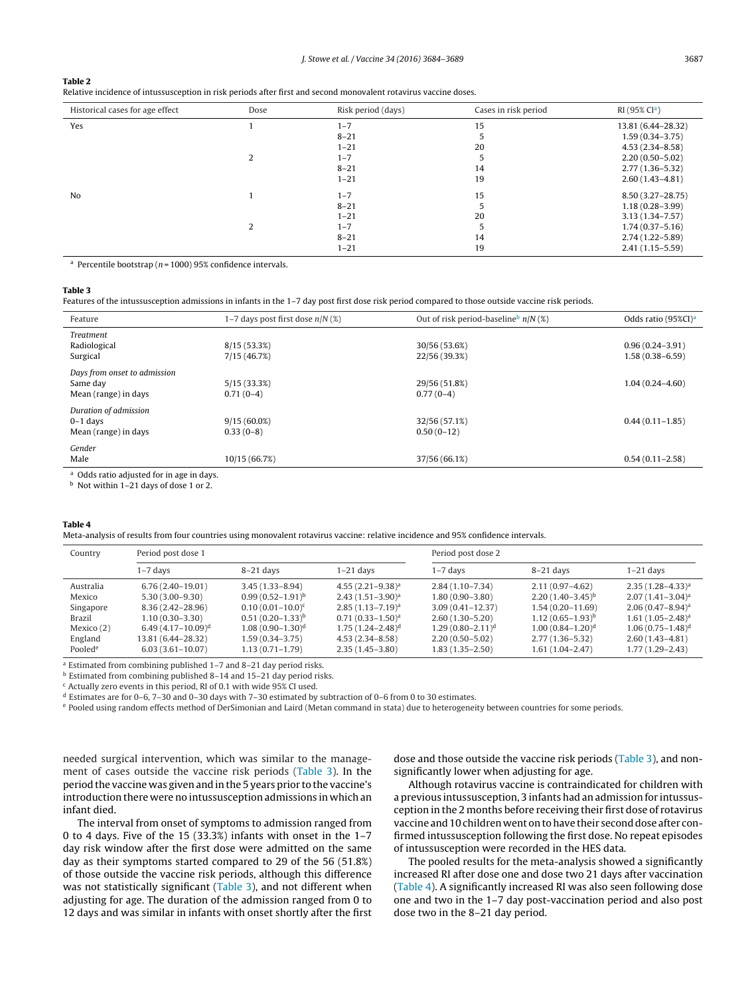<span id="page-3-0"></span>

| . . | $\sim$ |
|-----|--------|
|-----|--------|

Relative incidence of intussusception in risk periods after first and second monovalent rotavirus vaccine doses.

| Historical cases for age effect | Dose | Risk period (days) | Cases in risk period | RI(95% CI <sup>a</sup> ) |
|---------------------------------|------|--------------------|----------------------|--------------------------|
| Yes                             |      | $1 - 7$            | 15                   | 13.81 (6.44-28.32)       |
|                                 |      | $8 - 21$           |                      | $1.59(0.34 - 3.75)$      |
|                                 |      | $1 - 21$           | 20                   | $4.53(2.34 - 8.58)$      |
|                                 |      | $1 - 7$            |                      | $2.20(0.50 - 5.02)$      |
|                                 |      | $8 - 21$           | 14                   | $2.77(1.36 - 5.32)$      |
|                                 |      | $1 - 21$           | 19                   | $2.60(1.43 - 4.81)$      |
| No                              |      | $1 - 7$            | 15                   | 8.50 (3.27-28.75)        |
|                                 |      | $8 - 21$           |                      | $1.18(0.28 - 3.99)$      |
|                                 |      | $1 - 21$           | 20                   | $3.13(1.34 - 7.57)$      |
|                                 |      | $1 - 7$            |                      | $1.74(0.37 - 5.16)$      |
|                                 |      | $8 - 21$           | 14                   | $2.74(1.22 - 5.89)$      |
|                                 |      | $1 - 21$           | 19                   | $2.41(1.15 - 5.59)$      |

<sup>a</sup> Percentile bootstrap ( $n = 1000$ ) 95% confidence intervals.

#### **Table 3**

Features of the intussusception admissions in infants in the 1–7 day post first dose risk period compared to those outside vaccine risk periods.

| Feature                                              | 1–7 days post first dose $n/N$ (%) | Out of risk period-baseline $n/N$ (%) | Odds ratio (95%CI) <sup>a</sup> |  |
|------------------------------------------------------|------------------------------------|---------------------------------------|---------------------------------|--|
| <b>Treatment</b>                                     |                                    |                                       |                                 |  |
| Radiological                                         | 8/15(53.3%)                        | 30/56 (53.6%)                         | $0.96(0.24 - 3.91)$             |  |
| Surgical                                             | 7/15(46.7%)                        | 22/56 (39.3%)                         | $1.58(0.38 - 6.59)$             |  |
| Days from onset to admission                         |                                    |                                       |                                 |  |
| Same day                                             | 5/15(33.3%)                        | 29/56 (51.8%)                         | $1.04(0.24 - 4.60)$             |  |
| Mean (range) in days                                 | $0.71(0-4)$                        | $0.77(0-4)$                           |                                 |  |
| Duration of admission                                |                                    |                                       |                                 |  |
| $0-1$ days                                           | $9/15(60.0\%)$                     | 32/56 (57.1%)                         | $0.44(0.11 - 1.85)$             |  |
| Mean (range) in days                                 | $0.33(0-8)$                        | $0.50(0-12)$                          |                                 |  |
| Gender                                               |                                    |                                       |                                 |  |
| Male                                                 | 10/15 (66.7%)                      | 37/56 (66.1%)                         | $0.54(0.11 - 2.58)$             |  |
| <sup>a</sup> Odds ratio adjusted for in age in days. |                                    |                                       |                                 |  |

<sup>b</sup> Not within 1–21 days of dose 1 or 2.

#### **Table 4**

Meta-analysis of results from four countries using monovalent rotavirus vaccine: relative incidence and 95% confidence intervals.

| Country             | Period post dose 1   |                       |                       | Period post dose 2   |                       |                       |
|---------------------|----------------------|-----------------------|-----------------------|----------------------|-----------------------|-----------------------|
|                     | 1–7 days             | $8-21$ days           | $1-21$ days           | $1-7$ days           | $8-21$ days           | $1-21$ days           |
| Australia           | $6.76(2.40-19.01)$   | $3.45(1.33 - 8.94)$   | $4.55(2.21-9.38)^a$   | $2.84(1.10-7.34)$    | $2.11(0.97 - 4.62)$   | $2.35(1.28 - 4.33)^a$ |
| Mexico              | $5,30(3,00-9,30)$    | $0.99(0.52-1.91)^{b}$ | $2.43(1.51-3.90)^a$   | $1.80(0.90 - 3.80)$  | $2.20(1.40-3.45)^{b}$ | $2.07(1.41 - 3.04)^a$ |
| Singapore           | $8.36(2.42 - 28.96)$ | $0.10(0.01-10.0)^c$   | $2.85(1.13 - 7.19)^a$ | $3.09(0.41 - 12.37)$ | $1.54(0.20 - 11.69)$  | $2.06(0.47 - 8.94)^a$ |
| Brazil              | $1.10(0.30-3.30)$    | $0.51(0.20-1.33)^{b}$ | $0.71(0.33 - 1.50)^a$ | $2.60(1.30 - 5.20)$  | $1.12(0.65-1.93)^{b}$ | $1.61(1.05 - 2.48)^a$ |
| Mexico $(2)$        | $6.49(4.17-10.09)^d$ | $1.08(0.90-1.30)^d$   | $1.75(1.24 - 2.48)^d$ | $1.29(0.80-2.11)^d$  | $1.00(0.84 - 1.20)^d$ | $1.06(0.75 - 1.48)^d$ |
| England             | 13.81 (6.44–28.32)   | $1.59(0.34-3.75)$     | $4.53(2.34 - 8.58)$   | $2,20(0.50-5.02)$    | $2.77(1.36-5.32)$     | $2.60(1.43 - 4.81)$   |
| Pooled <sup>e</sup> | $6.03(3.61 - 10.07)$ | $1.13(0.71-1.79)$     | $2.35(1.45-3.80)$     | $1.83(1.35-2.50)$    | $1.61(1.04-2.47)$     | $1.77(1.29 - 2.43)$   |

<sup>a</sup> Estimated from combining published 1–7 and 8–21 day period risks.

<sup>b</sup> Estimated from combining published 8–14 and 15–21 day period risks.

 $\epsilon$  Actually zero events in this period, RI of 0.1 with wide 95% CI used.

 $d$  Estimates are for 0–6, 7–30 and 0–30 days with 7–30 estimated by subtraction of 0–6 from 0 to 30 estimates.

<sup>e</sup> Pooled using random effects method of DerSimonian and Laird (Metan command in stata) due to heterogeneity between countries for some periods.

needed surgical intervention, which was similar to the management of cases outside the vaccine risk periods (Table 3). In the period the vaccine was given and in the 5 years prior to the vaccine's introduction there were no intussusception admissions in which an infant died.

The interval from onset of symptoms to admission ranged from 0 to 4 days. Five of the 15 (33.3%) infants with onset in the 1–7 day risk window after the first dose were admitted on the same day as their symptoms started compared to 29 of the 56 (51.8%) of those outside the vaccine risk periods, although this difference was not statistically significant (Table 3), and not different when adjusting for age. The duration of the admission ranged from 0 to 12 days and was similar in infants with onset shortly after the first dose and those outside the vaccine risk periods (Table 3), and nonsignificantly lower when adjusting for age.

Although rotavirus vaccine is contraindicated for children with a previous intussusception, 3 infants had an admission for intussusception in the 2 months before receiving their first dose of rotavirus vaccine and 10 children went on to have their second dose after confirmed intussusception following the first dose. No repeat episodes of intussusception were recorded in the HES data.

The pooled results for the meta-analysis showed a significantly increased RI after dose one and dose two 21 days after vaccination (Table 4). A significantly increased RI was also seen following dose one and two in the 1–7 day post-vaccination period and also post dose two in the 8–21 day period.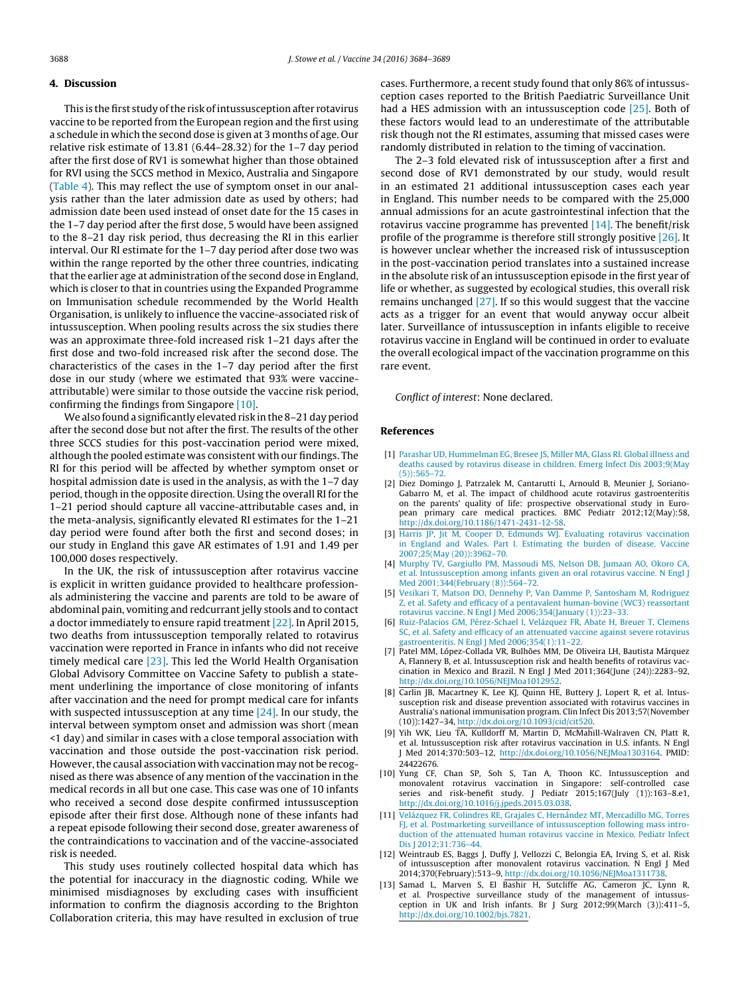#### <span id="page-4-0"></span>**4. Discussion**

This is the first study of the risk of intussusception after rotavirus vaccine to be reported from the European region and the first using a schedule in which the second dose is given at 3 months of age. Our relative risk estimate of 13.81 (6.44–28.32) for the 1–7 day period after the first dose of RV1 is somewhat higher than those obtained for RVI using the SCCS method in Mexico, Australia and Singapore ([Table](#page-3-0) 4). This may reflect the use of symptom onset in our analysis rather than the later admission date as used by others; had admission date been used instead of onset date for the 15 cases in the 1–7 day period after the first dose, 5 would have been assigned to the 8–21 day risk period, thus decreasing the RI in this earlier interval. Our RI estimate for the 1–7 day period after dose two was within the range reported by the other three countries, indicating that the earlier age at administration of the second dose in England, which is closer to that in countries using the Expanded Programme on Immunisation schedule recommended by the World Health Organisation, is unlikely to influence the vaccine-associated risk of intussusception. When pooling results across the six studies there was an approximate three-fold increased risk 1–21 days after the first dose and two-fold increased risk after the second dose. The characteristics of the cases in the 1–7 day period after the first dose in our study (where we estimated that 93% were vaccineattributable) were similar to those outside the vaccine risk period, confirming the findings from Singapore [10].

We also found a significantly elevated risk in the 8-21 day period after the second dose but not after the first. The results of the other three SCCS studies for this post-vaccination period were mixed, although the pooled estimate was consistent with our findings. The RI for this period will be affected by whether symptom onset or hospital admission date is used in the analysis, as with the 1-7 day period, though in the opposite direction. Using the overall RI for the 1–21 period should capture all vaccine-attributable cases and, in the meta-analysis, significantly elevated RI estimates for the 1–21 day period were found after both the first and second doses; in our study in England this gave AR estimates of 1.91 and 1.49 per 100,000 doses respectively.

In the UK, the risk of intussusception after rotavirus vaccine is explicit in written guidance provided to healthcare professionals administering the vaccine and parents are told to be aware of abdominal pain, vomiting and redcurrant jelly stools and to contact a doctor immediately to ensure rapid treatment [\[22\].](#page-5-0) In April 2015, two deaths from intussusception temporally related to rotavirus vaccination were reported in France in infants who did not receive timely medical care  $[23]$ . This led the World Health Organisation Global Advisory Committee on Vaccine Safety to publish a statement underlining the importance of close monitoring of infants after vaccination and the need for prompt medical care for infants with suspected intussusception at any time [\[24\].](#page-5-0) In our study, the interval between symptom onset and admission was short (mean <1 day) and similar in cases with a close temporal association with vaccination and those outside the post-vaccination risk period. However, the causal association with vaccination may not be recognised as there was absence of any mention of the vaccination in the medical records in all but one case. This case was one of 10 infants who received a second dose despite confirmed intussusception episode after their first dose. Although none of these infants had a repeat episode following their second dose, greater awareness of the contraindications to vaccination and of the vaccine-associated risk is needed.

This study uses routinely collected hospital data which has the potential for inaccuracy in the diagnostic coding. While we minimised misdiagnoses by excluding cases with insufficient information to confirm the diagnosis according to the Brighton Collaboration criteria, this may have resulted in exclusion of true

cases. Furthermore, a recent study found that only 86% of intussusception cases reported to the British Paediatric Surveillance Unit had a HES admission with an intussusception code [\[25\].](#page-5-0) Both of these factors would lead to an underestimate of the attributable risk though not the RI estimates, assuming that missed cases were randomly distributed in relation to the timing of vaccination.

The 2–3 fold elevated risk of intussusception after a first and second dose of RV1 demonstrated by our study, would result in an estimated 21 additional intussusception cases each year in England. This number needs to be compared with the 25,000 annual admissions for an acute gastrointestinal infection that the rotavirus vaccine programme has prevented  $[14]$ . The benefit/risk profile of the programme is therefore still strongly positive [\[26\].](#page-5-0) It is however unclear whether the increased risk of intussusception in the post-vaccination period translates into a sustained increase in the absolute risk of an intussusception episode in the first year of life or whether, as suggested by ecological studies, this overall risk remains unchanged [\[27\].](#page-5-0) If so this would suggest that the vaccine acts as a trigger for an event that would anyway occur albeit later. Surveillance of intussusception in infants eligible to receive rotavirus vaccine in England will be continued in order to evaluate the overall ecological impact of the vaccination programme on this rare event.

Conflict of interest: None declared.

#### **References**

- [1] [Parashar](http://refhub.elsevier.com/S0264-410X(16)30204-3/sbref0140) [UD,](http://refhub.elsevier.com/S0264-410X(16)30204-3/sbref0140) [Hummelman](http://refhub.elsevier.com/S0264-410X(16)30204-3/sbref0140) [EG,](http://refhub.elsevier.com/S0264-410X(16)30204-3/sbref0140) [Bresee](http://refhub.elsevier.com/S0264-410X(16)30204-3/sbref0140) [JS,](http://refhub.elsevier.com/S0264-410X(16)30204-3/sbref0140) [Miller](http://refhub.elsevier.com/S0264-410X(16)30204-3/sbref0140) [MA,](http://refhub.elsevier.com/S0264-410X(16)30204-3/sbref0140) [Glass](http://refhub.elsevier.com/S0264-410X(16)30204-3/sbref0140) [RI.](http://refhub.elsevier.com/S0264-410X(16)30204-3/sbref0140) [Global](http://refhub.elsevier.com/S0264-410X(16)30204-3/sbref0140) [illness](http://refhub.elsevier.com/S0264-410X(16)30204-3/sbref0140) [and](http://refhub.elsevier.com/S0264-410X(16)30204-3/sbref0140) [deaths](http://refhub.elsevier.com/S0264-410X(16)30204-3/sbref0140) [caused](http://refhub.elsevier.com/S0264-410X(16)30204-3/sbref0140) [by](http://refhub.elsevier.com/S0264-410X(16)30204-3/sbref0140) [rotavirus](http://refhub.elsevier.com/S0264-410X(16)30204-3/sbref0140) [disease](http://refhub.elsevier.com/S0264-410X(16)30204-3/sbref0140) [in](http://refhub.elsevier.com/S0264-410X(16)30204-3/sbref0140) [children.](http://refhub.elsevier.com/S0264-410X(16)30204-3/sbref0140) [Emerg](http://refhub.elsevier.com/S0264-410X(16)30204-3/sbref0140) [Infect](http://refhub.elsevier.com/S0264-410X(16)30204-3/sbref0140) [Dis](http://refhub.elsevier.com/S0264-410X(16)30204-3/sbref0140) [2003;9\(May](http://refhub.elsevier.com/S0264-410X(16)30204-3/sbref0140) [\(5\)\):565–72.](http://refhub.elsevier.com/S0264-410X(16)30204-3/sbref0140)
- [2] Diez Domingo J, Patrzalek M, Cantarutti L, Arnould B, Meunier J, Soriano-Gabarro M, et al. The impact of childhood acute rotavirus gastroenteritis on the parents' quality of life: prospective observational study in European primary care medical practices. BMC Pediatr 2012;12(May):58, [http://dx.doi.org/10.1186/1471-2431-12-58](dx.doi.org/10.1186/1471-2431-12-58).
- [3] [Harris](http://refhub.elsevier.com/S0264-410X(16)30204-3/sbref0150) [JP,](http://refhub.elsevier.com/S0264-410X(16)30204-3/sbref0150) [Jit](http://refhub.elsevier.com/S0264-410X(16)30204-3/sbref0150) [M,](http://refhub.elsevier.com/S0264-410X(16)30204-3/sbref0150) [Cooper](http://refhub.elsevier.com/S0264-410X(16)30204-3/sbref0150) [D,](http://refhub.elsevier.com/S0264-410X(16)30204-3/sbref0150) [Edmunds](http://refhub.elsevier.com/S0264-410X(16)30204-3/sbref0150) [WJ.](http://refhub.elsevier.com/S0264-410X(16)30204-3/sbref0150) [Evaluating](http://refhub.elsevier.com/S0264-410X(16)30204-3/sbref0150) [rotavirus](http://refhub.elsevier.com/S0264-410X(16)30204-3/sbref0150) [vaccination](http://refhub.elsevier.com/S0264-410X(16)30204-3/sbref0150) [in](http://refhub.elsevier.com/S0264-410X(16)30204-3/sbref0150) [England](http://refhub.elsevier.com/S0264-410X(16)30204-3/sbref0150) [and](http://refhub.elsevier.com/S0264-410X(16)30204-3/sbref0150) [Wales.](http://refhub.elsevier.com/S0264-410X(16)30204-3/sbref0150) [Part](http://refhub.elsevier.com/S0264-410X(16)30204-3/sbref0150) [I.](http://refhub.elsevier.com/S0264-410X(16)30204-3/sbref0150) [Estimating](http://refhub.elsevier.com/S0264-410X(16)30204-3/sbref0150) [the](http://refhub.elsevier.com/S0264-410X(16)30204-3/sbref0150) [burden](http://refhub.elsevier.com/S0264-410X(16)30204-3/sbref0150) [of](http://refhub.elsevier.com/S0264-410X(16)30204-3/sbref0150) [disease.](http://refhub.elsevier.com/S0264-410X(16)30204-3/sbref0150) [Vaccine](http://refhub.elsevier.com/S0264-410X(16)30204-3/sbref0150) [2007;25\(May](http://refhub.elsevier.com/S0264-410X(16)30204-3/sbref0150) [\(20\)\):3962–70.](http://refhub.elsevier.com/S0264-410X(16)30204-3/sbref0150)
- [4] [Murphy](http://refhub.elsevier.com/S0264-410X(16)30204-3/sbref0155) [TV,](http://refhub.elsevier.com/S0264-410X(16)30204-3/sbref0155) [Gargiullo](http://refhub.elsevier.com/S0264-410X(16)30204-3/sbref0155) [PM,](http://refhub.elsevier.com/S0264-410X(16)30204-3/sbref0155) [Massoudi](http://refhub.elsevier.com/S0264-410X(16)30204-3/sbref0155) [MS,](http://refhub.elsevier.com/S0264-410X(16)30204-3/sbref0155) [Nelson](http://refhub.elsevier.com/S0264-410X(16)30204-3/sbref0155) [DB,](http://refhub.elsevier.com/S0264-410X(16)30204-3/sbref0155) [Jumaan](http://refhub.elsevier.com/S0264-410X(16)30204-3/sbref0155) [AO,](http://refhub.elsevier.com/S0264-410X(16)30204-3/sbref0155) [Okoro](http://refhub.elsevier.com/S0264-410X(16)30204-3/sbref0155) [CA,](http://refhub.elsevier.com/S0264-410X(16)30204-3/sbref0155) [et](http://refhub.elsevier.com/S0264-410X(16)30204-3/sbref0155) [al.](http://refhub.elsevier.com/S0264-410X(16)30204-3/sbref0155) [Intussusception](http://refhub.elsevier.com/S0264-410X(16)30204-3/sbref0155) [among](http://refhub.elsevier.com/S0264-410X(16)30204-3/sbref0155) [infants](http://refhub.elsevier.com/S0264-410X(16)30204-3/sbref0155) [given](http://refhub.elsevier.com/S0264-410X(16)30204-3/sbref0155) [an](http://refhub.elsevier.com/S0264-410X(16)30204-3/sbref0155) [oral](http://refhub.elsevier.com/S0264-410X(16)30204-3/sbref0155) [rotavirus](http://refhub.elsevier.com/S0264-410X(16)30204-3/sbref0155) [vaccine.](http://refhub.elsevier.com/S0264-410X(16)30204-3/sbref0155) [N](http://refhub.elsevier.com/S0264-410X(16)30204-3/sbref0155) [Engl](http://refhub.elsevier.com/S0264-410X(16)30204-3/sbref0155) [J](http://refhub.elsevier.com/S0264-410X(16)30204-3/sbref0155) [Med](http://refhub.elsevier.com/S0264-410X(16)30204-3/sbref0155) [2001;344\(February](http://refhub.elsevier.com/S0264-410X(16)30204-3/sbref0155) [\(8\)\):564–72.](http://refhub.elsevier.com/S0264-410X(16)30204-3/sbref0155)
- [5] [Vesikari](http://refhub.elsevier.com/S0264-410X(16)30204-3/sbref0160) [T,](http://refhub.elsevier.com/S0264-410X(16)30204-3/sbref0160) [Matson](http://refhub.elsevier.com/S0264-410X(16)30204-3/sbref0160) [DO,](http://refhub.elsevier.com/S0264-410X(16)30204-3/sbref0160) [Dennehy](http://refhub.elsevier.com/S0264-410X(16)30204-3/sbref0160) [P,](http://refhub.elsevier.com/S0264-410X(16)30204-3/sbref0160) [Van](http://refhub.elsevier.com/S0264-410X(16)30204-3/sbref0160) [Damme](http://refhub.elsevier.com/S0264-410X(16)30204-3/sbref0160) [P,](http://refhub.elsevier.com/S0264-410X(16)30204-3/sbref0160) [Santosham](http://refhub.elsevier.com/S0264-410X(16)30204-3/sbref0160) [M,](http://refhub.elsevier.com/S0264-410X(16)30204-3/sbref0160) [Rodriguez](http://refhub.elsevier.com/S0264-410X(16)30204-3/sbref0160) [Z,](http://refhub.elsevier.com/S0264-410X(16)30204-3/sbref0160) [et](http://refhub.elsevier.com/S0264-410X(16)30204-3/sbref0160) [al.](http://refhub.elsevier.com/S0264-410X(16)30204-3/sbref0160) [Safety](http://refhub.elsevier.com/S0264-410X(16)30204-3/sbref0160) [and](http://refhub.elsevier.com/S0264-410X(16)30204-3/sbref0160) [efficacy](http://refhub.elsevier.com/S0264-410X(16)30204-3/sbref0160) [of](http://refhub.elsevier.com/S0264-410X(16)30204-3/sbref0160) [a](http://refhub.elsevier.com/S0264-410X(16)30204-3/sbref0160) [pentavalent](http://refhub.elsevier.com/S0264-410X(16)30204-3/sbref0160) [human-bovine](http://refhub.elsevier.com/S0264-410X(16)30204-3/sbref0160) [\(WC3\)](http://refhub.elsevier.com/S0264-410X(16)30204-3/sbref0160) [reassortant](http://refhub.elsevier.com/S0264-410X(16)30204-3/sbref0160) [rotavirus](http://refhub.elsevier.com/S0264-410X(16)30204-3/sbref0160) [vaccine.](http://refhub.elsevier.com/S0264-410X(16)30204-3/sbref0160) [N](http://refhub.elsevier.com/S0264-410X(16)30204-3/sbref0160) [Engl](http://refhub.elsevier.com/S0264-410X(16)30204-3/sbref0160) [J](http://refhub.elsevier.com/S0264-410X(16)30204-3/sbref0160) [Med](http://refhub.elsevier.com/S0264-410X(16)30204-3/sbref0160) [2006;354\(January](http://refhub.elsevier.com/S0264-410X(16)30204-3/sbref0160) [\(1\)\):23–33.](http://refhub.elsevier.com/S0264-410X(16)30204-3/sbref0160)
- [6] [Ruiz-Palacios](http://refhub.elsevier.com/S0264-410X(16)30204-3/sbref0165) [GM,](http://refhub.elsevier.com/S0264-410X(16)30204-3/sbref0165) [Pérez-Schael](http://refhub.elsevier.com/S0264-410X(16)30204-3/sbref0165) [I,](http://refhub.elsevier.com/S0264-410X(16)30204-3/sbref0165) [Velázquez](http://refhub.elsevier.com/S0264-410X(16)30204-3/sbref0165) [FR,](http://refhub.elsevier.com/S0264-410X(16)30204-3/sbref0165) [Abate](http://refhub.elsevier.com/S0264-410X(16)30204-3/sbref0165) [H,](http://refhub.elsevier.com/S0264-410X(16)30204-3/sbref0165) [Breuer](http://refhub.elsevier.com/S0264-410X(16)30204-3/sbref0165) [T,](http://refhub.elsevier.com/S0264-410X(16)30204-3/sbref0165) [Clemens](http://refhub.elsevier.com/S0264-410X(16)30204-3/sbref0165) [SC,](http://refhub.elsevier.com/S0264-410X(16)30204-3/sbref0165) [et](http://refhub.elsevier.com/S0264-410X(16)30204-3/sbref0165) [al.](http://refhub.elsevier.com/S0264-410X(16)30204-3/sbref0165) [Safety](http://refhub.elsevier.com/S0264-410X(16)30204-3/sbref0165) [and](http://refhub.elsevier.com/S0264-410X(16)30204-3/sbref0165) [efficacy](http://refhub.elsevier.com/S0264-410X(16)30204-3/sbref0165) [of](http://refhub.elsevier.com/S0264-410X(16)30204-3/sbref0165) [an](http://refhub.elsevier.com/S0264-410X(16)30204-3/sbref0165) [attenuated](http://refhub.elsevier.com/S0264-410X(16)30204-3/sbref0165) [vaccine](http://refhub.elsevier.com/S0264-410X(16)30204-3/sbref0165) [against](http://refhub.elsevier.com/S0264-410X(16)30204-3/sbref0165) [severe](http://refhub.elsevier.com/S0264-410X(16)30204-3/sbref0165) [rotavirus](http://refhub.elsevier.com/S0264-410X(16)30204-3/sbref0165) [gastroenteritis.](http://refhub.elsevier.com/S0264-410X(16)30204-3/sbref0165) [N](http://refhub.elsevier.com/S0264-410X(16)30204-3/sbref0165) [Engl](http://refhub.elsevier.com/S0264-410X(16)30204-3/sbref0165) [J](http://refhub.elsevier.com/S0264-410X(16)30204-3/sbref0165) [Med](http://refhub.elsevier.com/S0264-410X(16)30204-3/sbref0165) [2006;354\(1\):11–22.](http://refhub.elsevier.com/S0264-410X(16)30204-3/sbref0165)
- [7] Patel MM, López-Collada VR, Bulhões MM, De Oliveira LH, Bautista Márquez A, Flannery B, et al. Intussusception risk and health benefits of rotavirus vaccination in Mexico and Brazil. N Engl J Med 2011;364(June (24)):2283–92, [http://dx.doi.org/10.1056/NEJMoa1012952](dx.doi.org/10.1056/NEJMoa1012952).
- [8] Carlin JB, Macartney K, Lee KJ, Quinn HE, Buttery J, Lopert R, et al. Intussusception risk and disease prevention associated with rotavirus vaccines in Australia's national immunisation program. Clin Infect Dis 2013;57(November (10)):1427–34, [http://dx.doi.org/10.1093/cid/cit520](dx.doi.org/10.1093/cid/cit520).
- [9] Yih WK, Lieu TA, Kulldorff M, Martin D, McMahill-Walraven CN, Platt R, et al. Intussusception risk after rotavirus vaccination in U.S. infants. N Engl J Med 2014;370:503–12, [http://dx.doi.org/10.1056/NEJMoa1303164.](dx.doi.org/10.1056/NEJMoa1303164) PMID: 24422676.
- [10] Yung CF, Chan SP, Soh S, Tan A, Thoon KC. Intussusception and monovalent rotavirus vaccination in Singapore: self-controlled case series and risk-benefit study. J Pediatr 2015;167(July (1)):163-8.e1, [http://dx.doi.org/10.1016/j.jpeds.2015.03.038](dx.doi.org/10.1016/j.jpeds.2015.03.038).
- [11] [Velázquez](http://refhub.elsevier.com/S0264-410X(16)30204-3/sbref0190) [FR,](http://refhub.elsevier.com/S0264-410X(16)30204-3/sbref0190) [Colindres](http://refhub.elsevier.com/S0264-410X(16)30204-3/sbref0190) [RE,](http://refhub.elsevier.com/S0264-410X(16)30204-3/sbref0190) [Grajales](http://refhub.elsevier.com/S0264-410X(16)30204-3/sbref0190) [C,](http://refhub.elsevier.com/S0264-410X(16)30204-3/sbref0190) [Hernández](http://refhub.elsevier.com/S0264-410X(16)30204-3/sbref0190) [MT,](http://refhub.elsevier.com/S0264-410X(16)30204-3/sbref0190) [Mercadillo](http://refhub.elsevier.com/S0264-410X(16)30204-3/sbref0190) [MG,](http://refhub.elsevier.com/S0264-410X(16)30204-3/sbref0190) [Torres](http://refhub.elsevier.com/S0264-410X(16)30204-3/sbref0190) [FJ,](http://refhub.elsevier.com/S0264-410X(16)30204-3/sbref0190) [et](http://refhub.elsevier.com/S0264-410X(16)30204-3/sbref0190) [al.](http://refhub.elsevier.com/S0264-410X(16)30204-3/sbref0190) [Postmarketing](http://refhub.elsevier.com/S0264-410X(16)30204-3/sbref0190) [surveillance](http://refhub.elsevier.com/S0264-410X(16)30204-3/sbref0190) [of](http://refhub.elsevier.com/S0264-410X(16)30204-3/sbref0190) [intussusception](http://refhub.elsevier.com/S0264-410X(16)30204-3/sbref0190) [following](http://refhub.elsevier.com/S0264-410X(16)30204-3/sbref0190) [mass](http://refhub.elsevier.com/S0264-410X(16)30204-3/sbref0190) [intro](http://refhub.elsevier.com/S0264-410X(16)30204-3/sbref0190)[duction](http://refhub.elsevier.com/S0264-410X(16)30204-3/sbref0190) [of](http://refhub.elsevier.com/S0264-410X(16)30204-3/sbref0190) [the](http://refhub.elsevier.com/S0264-410X(16)30204-3/sbref0190) [attenuated](http://refhub.elsevier.com/S0264-410X(16)30204-3/sbref0190) [human](http://refhub.elsevier.com/S0264-410X(16)30204-3/sbref0190) [rotavirus](http://refhub.elsevier.com/S0264-410X(16)30204-3/sbref0190) [vaccine](http://refhub.elsevier.com/S0264-410X(16)30204-3/sbref0190) [in](http://refhub.elsevier.com/S0264-410X(16)30204-3/sbref0190) [Mexico.](http://refhub.elsevier.com/S0264-410X(16)30204-3/sbref0190) [Pediatr](http://refhub.elsevier.com/S0264-410X(16)30204-3/sbref0190) [Infect](http://refhub.elsevier.com/S0264-410X(16)30204-3/sbref0190) [Dis](http://refhub.elsevier.com/S0264-410X(16)30204-3/sbref0190) [J](http://refhub.elsevier.com/S0264-410X(16)30204-3/sbref0190) [2012;31:736–44.](http://refhub.elsevier.com/S0264-410X(16)30204-3/sbref0190)
- [12] Weintraub ES, Baggs J, Duffy J, Vellozzi C, Belongia EA, Irving S, et al. Risk of intussusception after monovalent rotavirus vaccination. N Engl J Med 2014;370(February):513–9, [http://dx.doi.org/10.1056/NEJMoa1311738](dx.doi.org/10.1056/NEJMoa1311738).
- [13] Samad L, Marven S, El Bashir H, Sutcliffe AG, Cameron JC, Lynn R, et al. Prospective surveillance study of the management of intussusception in UK and Irish infants. Br J Surg 2012;99(March (3)):411–5, [http://dx.doi.org/10.1002/bjs.7821.](dx.doi.org/10.1002/bjs.7821)